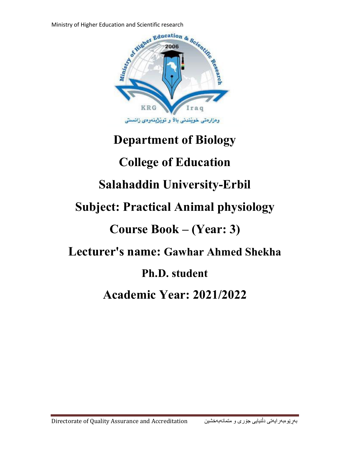

## **Department of Biology College of Education Salahaddin University-Erbil Subject: Practical Animal physiology Course Book – (Year: 3) Lecturer's name: Gawhar Ahmed Shekha Ph.D. student Academic Year: 2021/2022**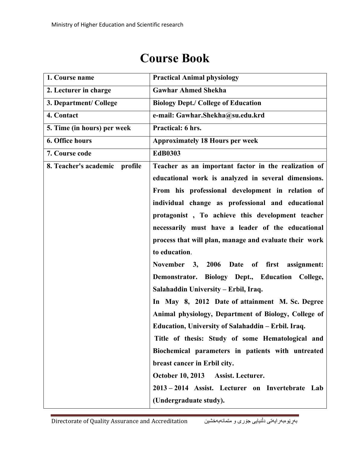| 1. Course name                | <b>Practical Animal physiology</b>                     |  |
|-------------------------------|--------------------------------------------------------|--|
| 2. Lecturer in charge         | <b>Gawhar Ahmed Shekha</b>                             |  |
| 3. Department/ College        | <b>Biology Dept./ College of Education</b>             |  |
| 4. Contact                    | e-mail: Gawhar.Shekha@su.edu.krd                       |  |
| 5. Time (in hours) per week   | Practical: 6 hrs.                                      |  |
| <b>6. Office hours</b>        | <b>Approximately 18 Hours per week</b>                 |  |
| 7. Course code                | <b>EdB0303</b>                                         |  |
| 8. Teacher's academic profile | Teacher as an important factor in the realization of   |  |
|                               | educational work is analyzed in several dimensions.    |  |
|                               | From his professional development in relation of       |  |
|                               | individual change as professional and educational      |  |
|                               | protagonist, To achieve this development teacher       |  |
|                               | necessarily must have a leader of the educational      |  |
|                               | process that will plan, manage and evaluate their work |  |
|                               | to education.                                          |  |
|                               | November 3, 2006 Date of first assignment:             |  |
|                               | Demonstrator. Biology Dept., Education College,        |  |
|                               | Salahaddin University – Erbil, Iraq.                   |  |
|                               | In May 8, 2012 Date of attainment M. Sc. Degree        |  |
|                               | Animal physiology, Department of Biology, College of   |  |
|                               | Education, University of Salahaddin – Erbil. Iraq.     |  |
|                               | Title of thesis: Study of some Hematological and       |  |
|                               | Biochemical parameters in patients with untreated      |  |
|                               | breast cancer in Erbil city.                           |  |
|                               | <b>October 10, 2013</b><br>Assist. Lecturer.           |  |
|                               | 2013 – 2014 Assist. Lecturer on Invertebrate Lab       |  |
|                               | (Undergraduate study).                                 |  |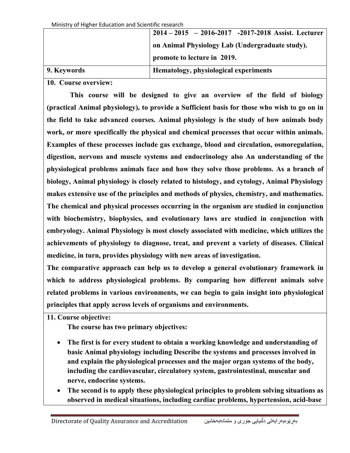|             | $2014 - 2015 - 2016 - 2017 - 2017 - 2018$ Assist. Lecturer |  |
|-------------|------------------------------------------------------------|--|
|             | on Animal Physiology Lab (Undergraduate study).            |  |
|             | promote to lecture in 2019.                                |  |
| 9. Keywords | Hematology, physiological experiments                      |  |

**10. Course overview:**

 **This course will be designed to give an overview of the field of biology (practical Animal physiology), to provide a Sufficient basis for those who wish to go on in the field to take advanced courses. Animal physiology is the study of how animals body work, or more specifically the physical and chemical processes that occur within animals. Examples of these processes include gas exchange, blood and circulation, osmoregulation, digestion, nervous and muscle systems and endocrinology also An understanding of the physiological problems animals face and how they solve those problems. As a branch of biology, Animal physiology is closely related to histology, and cytology, Animal Physiology makes extensive use of the principles and methods of physics, chemistry, and mathematics. The chemical and physical processes occurring in the organism are studied in conjunction with biochemistry, biophysics, and evolutionary laws are studied in conjunction with embryology. Animal Physiology is most closely associated with medicine, which utilizes the achievements of physiology to diagnose, treat, and prevent a variety of diseases. Clinical medicine, in turn, provides physiology with new areas of investigation.** 

**The comparative approach can help us to develop a general evolutionary framework in which to address physiological problems. By comparing how different animals solve related problems in various environments, we can begin to gain insight into physiological principles that apply across levels of organisms and environments.**

**11. Course objective:**

**The course has two primary objectives:**

- **The first is for every student to obtain a working knowledge and understanding of basic Animal physiology including Describe the systems and processes involved in and explain the physiological processes and the major organ systems of the body, including the cardiovascular, circulatory system, gastrointestinal, muscular and nerve, endocrine systems.**
- **The second is to apply these physiological principles to problem solving situations as observed in medical situations, including cardiac problems, hypertension, acid-base**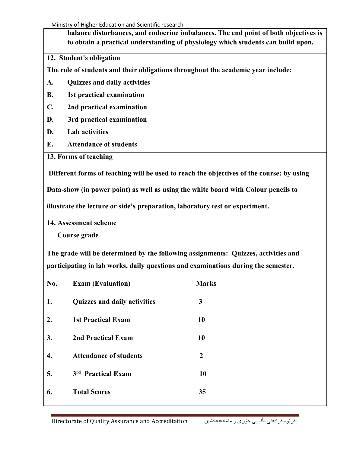Ministry of Higher Education and Scientific research

**balance disturbances, and endocrine imbalances. The end point of both objectives is to obtain a practical understanding of physiology which students can build upon.**

## **12. Student's obligation**

**The role of students and their obligations throughout the academic year include:**

- **A. Quizzes and daily activities**
- **B. 1st practical examination**
- **C. 2nd practical examination**
- **D. 3rd practical examination**
- **D. Lab activities**
- **E. Attendance of students**
- **13. Forms of teaching**

**Different forms of teaching will be used to reach the objectives of the course: by using** 

**Data-show (in power point) as well as using the white board with Colour pencils to** 

**illustrate the lecture or side's preparation, laboratory test or experiment.**

**14. Assessment scheme**

 **Course grade**

**The grade will be determined by the following assignments: Quizzes, activities and participating in lab works, daily questions and examinations during the semester.** 

| No. | <b>Exam (Evaluation)</b>            | <b>Marks</b>     |
|-----|-------------------------------------|------------------|
| 1.  | <b>Quizzes and daily activities</b> | 3                |
| 2.  | <b>1st Practical Exam</b>           | 10               |
| 3.  | <b>2nd Practical Exam</b>           | 10               |
| 4.  | <b>Attendance of students</b>       | $\boldsymbol{2}$ |
| 5.  | 3rd Practical Exam                  | 10               |
| 6.  | <b>Total Scores</b>                 | 35               |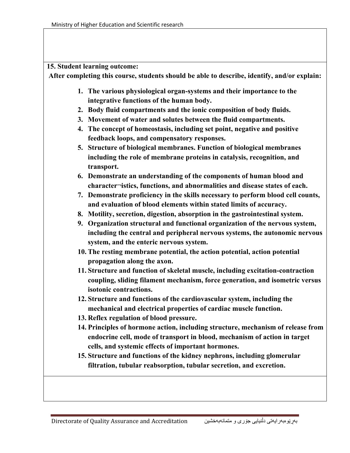## **15. Student learning outcome:**

**After completing this course, students should be able to describe, identify, and/or explain:**

- **1. The various physiological organ-systems and their importance to the integrative functions of the human body.**
- **2. Body fluid compartments and the ionic composition of body fluids.**
- **3. Movement of water and solutes between the fluid compartments.**
- **4. The concept of homeostasis, including set point, negative and positive feedback loops, and compensatory responses.**
- **5. Structure of biological membranes. Function of biological membranes including the role of membrane proteins in catalysis, recognition, and transport.**
- **6. Demonstrate an understanding of the components of human blood and character¬istics, functions, and abnormalities and disease states of each.**
- **7. Demonstrate proficiency in the skills necessary to perform blood cell counts, and evaluation of blood elements within stated limits of accuracy.**
- **8. Motility, secretion, digestion, absorption in the gastrointestinal system.**
- **9. Organization structural and functional organization of the nervous system, including the central and peripheral nervous systems, the autonomic nervous system, and the enteric nervous system.**
- **10. The resting membrane potential, the action potential, action potential propagation along the axon.**
- **11. Structure and function of skeletal muscle, including excitation-contraction coupling, sliding filament mechanism, force generation, and isometric versus isotonic contractions.**
- **12. Structure and functions of the cardiovascular system, including the mechanical and electrical properties of cardiac muscle function.**
- **13. Reflex regulation of blood pressure.**
- **14. Principles of hormone action, including structure, mechanism of release from endocrine cell, mode of transport in blood, mechanism of action in target cells, and systemic effects of important hormones.**
- **15. Structure and functions of the kidney nephrons, including glomerular filtration, tubular reabsorption, tubular secretion, and excretion.**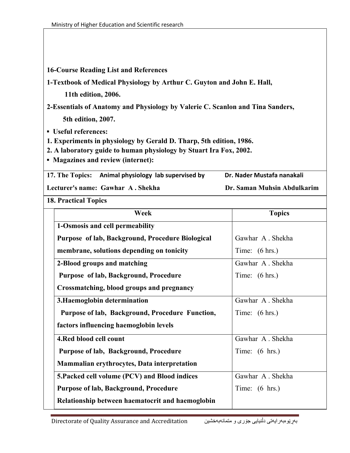## **16-Course Reading List and References**

**1-Textbook of Medical Physiology by Arthur C. Guyton and John E. Hall,** 

 **11th edition, 2006.** 

**2-Essentials of Anatomy and Physiology by Valerie C. Scanlon and Tina Sanders, 5th edition, 2007.** 

**▪ Useful references:**

**1. Experiments in physiology by Gerald D. Tharp, 5th edition, 1986.** 

**2. A laboratory guide to human physiology by Stuart Ira Fox, 2002.** 

**▪ Magazines and review (internet):**

17. The Topics: Animal physiology lab supervised by Dr. Nader Mustafa nanakali

**Lecturer's name: Gawhar A . Shekha Dr. Saman Muhsin Abdulkarim**

**18. Practical Topics** 

| Week                                             | <b>Topics</b>            |
|--------------------------------------------------|--------------------------|
| 1-Osmosis and cell permeability                  |                          |
| Purpose of lab, Background, Procedure Biological | Gawhar A. Shekha         |
| membrane, solutions depending on tonicity        | Time: $(6 hrs.)$         |
| 2-Blood groups and matching                      | Gawhar A. Shekha         |
| Purpose of lab, Background, Procedure            | Time: $(6 hrs.)$         |
| Crossmatching, blood groups and pregnancy        |                          |
| 3. Haemoglobin determination                     | Gawhar A. Shekha         |
| Purpose of lab, Background, Procedure Function,  | Time: $(6 hrs.)$         |
| factors influencing haemoglobin levels           |                          |
| 4. Red blood cell count                          | Gawhar A. Shekha         |
| Purpose of lab, Background, Procedure            | Time: $(6 \text{ hrs.})$ |
| Mammalian erythrocytes, Data interpretation      |                          |
| 5. Packed cell volume (PCV) and Blood indices    | Gawhar A. Shekha         |
| <b>Purpose of lab, Background, Procedure</b>     | Time: $(6 \text{ hrs.})$ |
| Relationship between haematocrit and haemoglobin |                          |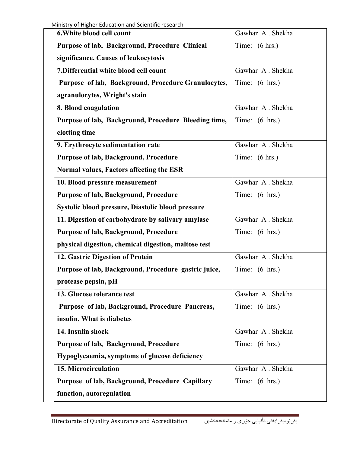| 6. White blood cell count                            | Gawhar A. Shekha         |
|------------------------------------------------------|--------------------------|
| Purpose of lab, Background, Procedure Clinical       | Time: $(6 hrs.)$         |
| significance, Causes of leukocytosis                 |                          |
| 7. Differential white blood cell count               | Gawhar A. Shekha         |
| Purpose of lab, Background, Procedure Granulocytes,  | Time: $(6 \text{ hrs.})$ |
| agranulocytes, Wright's stain                        |                          |
| 8. Blood coagulation                                 | Gawhar A. Shekha         |
| Purpose of lab, Background, Procedure Bleeding time, | Time: $(6 \text{ hrs.})$ |
| clotting time                                        |                          |
| 9. Erythrocyte sedimentation rate                    | Gawhar A. Shekha         |
| Purpose of lab, Background, Procedure                | Time: $(6 hrs.)$         |
| Normal values, Factors affecting the ESR             |                          |
| 10. Blood pressure measurement                       | Gawhar A. Shekha         |
| <b>Purpose of lab, Background, Procedure</b>         | Time: $(6 \text{ hrs.})$ |
| Systolic blood pressure, Diastolic blood pressure    |                          |
| 11. Digestion of carbohydrate by salivary amylase    | Gawhar A. Shekha         |
| <b>Purpose of lab, Background, Procedure</b>         | Time: $(6 \text{ hrs.})$ |
| physical digestion, chemical digestion, maltose test |                          |
| 12. Gastric Digestion of Protein                     | Gawhar A. Shekha         |
| Purpose of lab, Background, Procedure gastric juice, | Time: $(6 \text{ hrs.})$ |
| protease pepsin, pH                                  |                          |
| 13. Glucose tolerance test                           | Gawhar A. Shekha         |
| Purpose of lab, Background, Procedure Pancreas,      | Time: $(6 \text{ hrs.})$ |
| insulin, What is diabetes                            |                          |
| 14. Insulin shock                                    | Gawhar A. Shekha         |
| Purpose of lab, Background, Procedure                | Time: $(6 \text{ hrs.})$ |
| Hypoglycaemia, symptoms of glucose deficiency        |                          |
| 15. Microcirculation                                 | Gawhar A. Shekha         |
| Purpose of lab, Background, Procedure Capillary      | Time: $(6 \text{ hrs.})$ |
| function, autoregulation                             |                          |